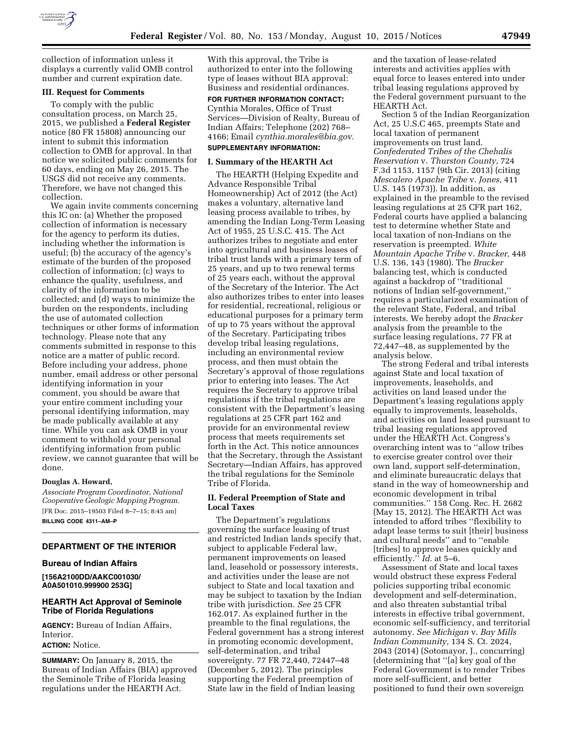

collection of information unless it displays a currently valid OMB control number and current expiration date.

## **III. Request for Comments**

To comply with the public consultation process, on March 25, 2015, we published a **Federal Register**  notice (80 FR 15808) announcing our intent to submit this information collection to OMB for approval. In that notice we solicited public comments for 60 days, ending on May 26, 2015. The USGS did not receive any comments. Therefore, we have not changed this collection.

We again invite comments concerning this IC on: (a) Whether the proposed collection of information is necessary for the agency to perform its duties, including whether the information is useful; (b) the accuracy of the agency's estimate of the burden of the proposed collection of information; (c) ways to enhance the quality, usefulness, and clarity of the information to be collected; and (d) ways to minimize the burden on the respondents, including the use of automated collection techniques or other forms of information technology. Please note that any comments submitted in response to this notice are a matter of public record. Before including your address, phone number, email address or other personal identifying information in your comment, you should be aware that your entire comment including your personal identifying information, may be made publically available at any time. While you can ask OMB in your comment to withhold your personal identifying information from public review, we cannot guarantee that will be done.

#### **Douglas A. Howard,**

*Associate Program Coordinator, National Cooperative Geologic Mapping Program.*  [FR Doc. 2015–19503 Filed 8–7–15; 8:45 am] **BILLING CODE 4311–AM–P** 

# **DEPARTMENT OF THE INTERIOR**

#### **Bureau of Indian Affairs**

**[156A2100DD/AAKC001030/ A0A501010.999900 253G]** 

# **HEARTH Act Approval of Seminole Tribe of Florida Regulations**

**AGENCY:** Bureau of Indian Affairs, Interior.

# **ACTION:** Notice.

**SUMMARY:** On January 8, 2015, the Bureau of Indian Affairs (BIA) approved the Seminole Tribe of Florida leasing regulations under the HEARTH Act.

With this approval, the Tribe is authorized to enter into the following type of leases without BIA approval: Business and residential ordinances.

**FOR FURTHER INFORMATION CONTACT:**  Cynthia Morales, Office of Trust Services—Division of Realty, Bureau of Indian Affairs; Telephone (202) 768– 4166; Email *[cynthia.morales@bia.gov.](mailto:cynthia.morales@bia.gov)* 

# **SUPPLEMENTARY INFORMATION:**

#### **I. Summary of the HEARTH Act**

The HEARTH (Helping Expedite and Advance Responsible Tribal Homeownership) Act of 2012 (the Act) makes a voluntary, alternative land leasing process available to tribes, by amending the Indian Long-Term Leasing Act of 1955, 25 U.S.C. 415. The Act authorizes tribes to negotiate and enter into agricultural and business leases of tribal trust lands with a primary term of 25 years, and up to two renewal terms of 25 years each, without the approval of the Secretary of the Interior. The Act also authorizes tribes to enter into leases for residential, recreational, religious or educational purposes for a primary term of up to 75 years without the approval of the Secretary. Participating tribes develop tribal leasing regulations, including an environmental review process, and then must obtain the Secretary's approval of those regulations prior to entering into leases. The Act requires the Secretary to approve tribal regulations if the tribal regulations are consistent with the Department's leasing regulations at 25 CFR part 162 and provide for an environmental review process that meets requirements set forth in the Act. This notice announces that the Secretary, through the Assistant Secretary—Indian Affairs, has approved the tribal regulations for the Seminole Tribe of Florida.

# **II. Federal Preemption of State and Local Taxes**

The Department's regulations governing the surface leasing of trust and restricted Indian lands specify that, subject to applicable Federal law, permanent improvements on leased land, leasehold or possessory interests, and activities under the lease are not subject to State and local taxation and may be subject to taxation by the Indian tribe with jurisdiction. *See* 25 CFR 162.017. As explained further in the preamble to the final regulations, the Federal government has a strong interest in promoting economic development, self-determination, and tribal sovereignty. 77 FR 72,440, 72447–48 (December 5, 2012). The principles supporting the Federal preemption of State law in the field of Indian leasing

and the taxation of lease-related interests and activities applies with equal force to leases entered into under tribal leasing regulations approved by the Federal government pursuant to the HEARTH Act.

Section 5 of the Indian Reorganization Act, 25 U.S.C 465, preempts State and local taxation of permanent improvements on trust land. *Confederated Tribes of the Chehalis Reservation* v. *Thurston County,* 724 F.3d 1153, 1157 (9th Cir. 2013) (citing *Mescalero Apache Tribe* v. *Jones,* 411 U.S. 145 (1973)). In addition, as explained in the preamble to the revised leasing regulations at 25 CFR part 162, Federal courts have applied a balancing test to determine whether State and local taxation of non-Indians on the reservation is preempted. *White Mountain Apache Tribe* v. *Bracker,* 448 U.S. 136, 143 (1980). The *Bracker*  balancing test, which is conducted against a backdrop of ''traditional notions of Indian self-government,'' requires a particularized examination of the relevant State, Federal, and tribal interests. We hereby adopt the *Bracker*  analysis from the preamble to the surface leasing regulations, 77 FR at 72,447–48, as supplemented by the analysis below.

The strong Federal and tribal interests against State and local taxation of improvements, leaseholds, and activities on land leased under the Department's leasing regulations apply equally to improvements, leaseholds, and activities on land leased pursuant to tribal leasing regulations approved under the HEARTH Act. Congress's overarching intent was to ''allow tribes to exercise greater control over their own land, support self-determination, and eliminate bureaucratic delays that stand in the way of homeownership and economic development in tribal communities.'' 158 Cong. Rec. H. 2682 (May 15, 2012). The HEARTH Act was intended to afford tribes ''flexibility to adapt lease terms to suit [their] business and cultural needs'' and to ''enable [tribes] to approve leases quickly and efficiently.'' *Id.* at 5–6.

Assessment of State and local taxes would obstruct these express Federal policies supporting tribal economic development and self-determination, and also threaten substantial tribal interests in effective tribal government, economic self-sufficiency, and territorial autonomy. *See Michigan* v. *Bay Mills Indian Community,* 134 S. Ct. 2024, 2043 (2014) (Sotomayor, J., concurring) (determining that ''[a] key goal of the Federal Government is to render Tribes more self-sufficient, and better positioned to fund their own sovereign